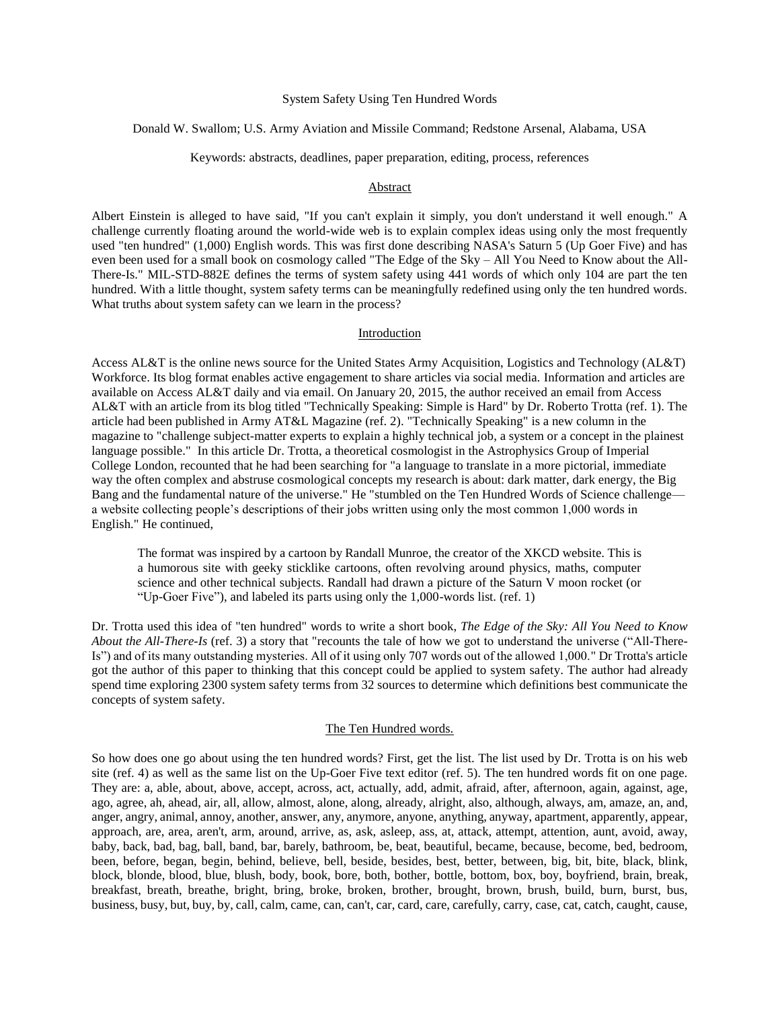## System Safety Using Ten Hundred Words

Donald W. Swallom; U.S. Army Aviation and Missile Command; Redstone Arsenal, Alabama, USA

Keywords: abstracts, deadlines, paper preparation, editing, process, references

#### Abstract

Albert Einstein is alleged to have said, "If you can't explain it simply, you don't understand it well enough." A challenge currently floating around the world-wide web is to explain complex ideas using only the most frequently used "ten hundred" (1,000) English words. This was first done describing NASA's Saturn 5 (Up Goer Five) and has even been used for a small book on cosmology called "The Edge of the Sky – All You Need to Know about the All-There-Is." MIL-STD-882E defines the terms of system safety using 441 words of which only 104 are part the ten hundred. With a little thought, system safety terms can be meaningfully redefined using only the ten hundred words. What truths about system safety can we learn in the process?

### Introduction

Access AL&T is the online news source for the United States Army Acquisition, Logistics and Technology (AL&T) Workforce. Its blog format enables active engagement to share articles via social media. Information and articles are available on Access AL&T daily and via email. On January 20, 2015, the author received an email from Access AL&T with an article from its blog titled "Technically Speaking: Simple is Hard" by Dr. Roberto Trotta (ref. 1). The article had been published in Army AT&L Magazine (ref. 2). "Technically Speaking" is a new column in the magazine to "challenge subject-matter experts to explain a highly technical job, a system or a concept in the plainest language possible." In this article Dr. Trotta, a theoretical cosmologist in the Astrophysics Group of Imperial College London, recounted that he had been searching for "a language to translate in a more pictorial, immediate way the often complex and abstruse cosmological concepts my research is about: dark matter, dark energy, the Big Bang and the fundamental nature of the universe." He "stumbled on the Ten Hundred Words of Science challenge a website collecting people's descriptions of their jobs written using only the most common 1,000 words in English." He continued,

The format was inspired by a cartoon by Randall Munroe, the creator of the XKCD website. This is a humorous site with geeky sticklike cartoons, often revolving around physics, maths, computer science and other technical subjects. Randall had drawn a picture of the Saturn V moon rocket (or "Up-Goer Five"), and labeled its parts using only the 1,000-words list. (ref. 1)

Dr. Trotta used this idea of "ten hundred" words to write a short book, *The Edge of the Sky: All You Need to Know About the All-There-Is* (ref. 3) a story that "recounts the tale of how we got to understand the universe ("All-There-Is") and of its many outstanding mysteries. All of it using only 707 words out of the allowed 1,000." Dr Trotta's article got the author of this paper to thinking that this concept could be applied to system safety. The author had already spend time exploring 2300 system safety terms from 32 sources to determine which definitions best communicate the concepts of system safety.

## The Ten Hundred words.

So how does one go about using the ten hundred words? First, get the list. The list used by Dr. Trotta is on his web site (ref. 4) as well as the same list on the Up-Goer Five text editor (ref. 5). The ten hundred words fit on one page. They are: a, able, about, above, accept, across, act, actually, add, admit, afraid, after, afternoon, again, against, age, ago, agree, ah, ahead, air, all, allow, almost, alone, along, already, alright, also, although, always, am, amaze, an, and, anger, angry, animal, annoy, another, answer, any, anymore, anyone, anything, anyway, apartment, apparently, appear, approach, are, area, aren't, arm, around, arrive, as, ask, asleep, ass, at, attack, attempt, attention, aunt, avoid, away, baby, back, bad, bag, ball, band, bar, barely, bathroom, be, beat, beautiful, became, because, become, bed, bedroom, been, before, began, begin, behind, believe, bell, beside, besides, best, better, between, big, bit, bite, black, blink, block, blonde, blood, blue, blush, body, book, bore, both, bother, bottle, bottom, box, boy, boyfriend, brain, break, breakfast, breath, breathe, bright, bring, broke, broken, brother, brought, brown, brush, build, burn, burst, bus, business, busy, but, buy, by, call, calm, came, can, can't, car, card, care, carefully, carry, case, cat, catch, caught, cause,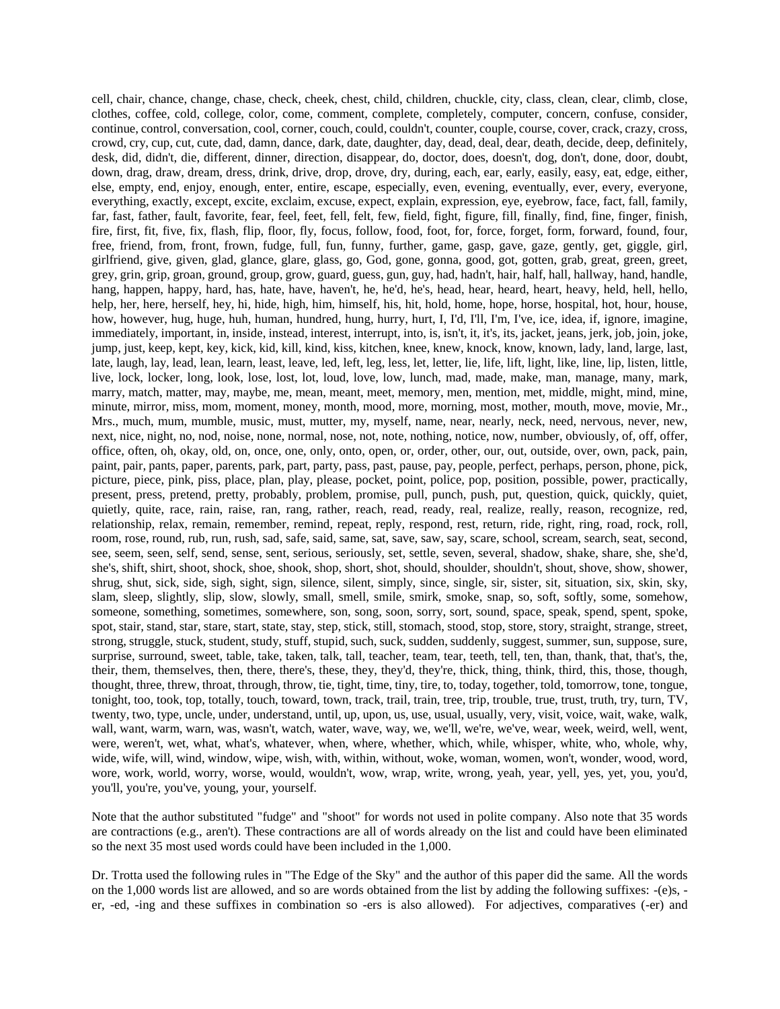cell, chair, chance, change, chase, check, cheek, chest, child, children, chuckle, city, class, clean, clear, climb, close, clothes, coffee, cold, college, color, come, comment, complete, completely, computer, concern, confuse, consider, continue, control, conversation, cool, corner, couch, could, couldn't, counter, couple, course, cover, crack, crazy, cross, crowd, cry, cup, cut, cute, dad, damn, dance, dark, date, daughter, day, dead, deal, dear, death, decide, deep, definitely, desk, did, didn't, die, different, dinner, direction, disappear, do, doctor, does, doesn't, dog, don't, done, door, doubt, down, drag, draw, dream, dress, drink, drive, drop, drove, dry, during, each, ear, early, easily, easy, eat, edge, either, else, empty, end, enjoy, enough, enter, entire, escape, especially, even, evening, eventually, ever, every, everyone, everything, exactly, except, excite, exclaim, excuse, expect, explain, expression, eye, eyebrow, face, fact, fall, family, far, fast, father, fault, favorite, fear, feel, feet, fell, felt, few, field, fight, figure, fill, finally, find, fine, finger, finish, fire, first, fit, five, fix, flash, flip, floor, fly, focus, follow, food, foot, for, force, forget, form, forward, found, four, free, friend, from, front, frown, fudge, full, fun, funny, further, game, gasp, gave, gaze, gently, get, giggle, girl, girlfriend, give, given, glad, glance, glare, glass, go, God, gone, gonna, good, got, gotten, grab, great, green, greet, grey, grin, grip, groan, ground, group, grow, guard, guess, gun, guy, had, hadn't, hair, half, hall, hallway, hand, handle, hang, happen, happy, hard, has, hate, have, haven't, he, he'd, he's, head, hear, heard, heart, heavy, held, hell, hello, help, her, here, herself, hey, hi, hide, high, him, himself, his, hit, hold, home, hope, horse, hospital, hot, hour, house, how, however, hug, huge, huh, human, hundred, hung, hurry, hurt, I, I'd, I'll, I'm, I've, ice, idea, if, ignore, imagine, immediately, important, in, inside, instead, interest, interrupt, into, is, isn't, it, it's, its, jacket, jeans, jerk, job, join, joke, jump, just, keep, kept, key, kick, kid, kill, kind, kiss, kitchen, knee, knew, knock, know, known, lady, land, large, last, late, laugh, lay, lead, lean, learn, least, leave, led, left, leg, less, let, letter, lie, life, lift, light, like, line, lip, listen, little, live, lock, locker, long, look, lose, lost, lot, loud, love, low, lunch, mad, made, make, man, manage, many, mark, marry, match, matter, may, maybe, me, mean, meant, meet, memory, men, mention, met, middle, might, mind, mine, minute, mirror, miss, mom, moment, money, month, mood, more, morning, most, mother, mouth, move, movie, Mr., Mrs., much, mum, mumble, music, must, mutter, my, myself, name, near, nearly, neck, need, nervous, never, new, next, nice, night, no, nod, noise, none, normal, nose, not, note, nothing, notice, now, number, obviously, of, off, offer, office, often, oh, okay, old, on, once, one, only, onto, open, or, order, other, our, out, outside, over, own, pack, pain, paint, pair, pants, paper, parents, park, part, party, pass, past, pause, pay, people, perfect, perhaps, person, phone, pick, picture, piece, pink, piss, place, plan, play, please, pocket, point, police, pop, position, possible, power, practically, present, press, pretend, pretty, probably, problem, promise, pull, punch, push, put, question, quick, quickly, quiet, quietly, quite, race, rain, raise, ran, rang, rather, reach, read, ready, real, realize, really, reason, recognize, red, relationship, relax, remain, remember, remind, repeat, reply, respond, rest, return, ride, right, ring, road, rock, roll, room, rose, round, rub, run, rush, sad, safe, said, same, sat, save, saw, say, scare, school, scream, search, seat, second, see, seem, seen, self, send, sense, sent, serious, seriously, set, settle, seven, several, shadow, shake, share, she, she'd, she's, shift, shirt, shoot, shock, shoe, shook, shop, short, shot, should, shoulder, shouldn't, shout, shove, show, shower, shrug, shut, sick, side, sigh, sight, sign, silence, silent, simply, since, single, sir, sister, sit, situation, six, skin, sky, slam, sleep, slightly, slip, slow, slowly, small, smell, smile, smirk, smoke, snap, so, soft, softly, some, somehow, someone, something, sometimes, somewhere, son, song, soon, sorry, sort, sound, space, speak, spend, spent, spoke, spot, stair, stand, star, stare, start, state, stay, step, stick, still, stomach, stood, stop, store, story, straight, strange, street, strong, struggle, stuck, student, study, stuff, stupid, such, suck, sudden, suddenly, suggest, summer, sun, suppose, sure, surprise, surround, sweet, table, take, taken, talk, tall, teacher, team, tear, teeth, tell, ten, than, thank, that, that's, the, their, them, themselves, then, there, there's, these, they, they'd, they're, thick, thing, think, third, this, those, though, thought, three, threw, throat, through, throw, tie, tight, time, tiny, tire, to, today, together, told, tomorrow, tone, tongue, tonight, too, took, top, totally, touch, toward, town, track, trail, train, tree, trip, trouble, true, trust, truth, try, turn, TV, twenty, two, type, uncle, under, understand, until, up, upon, us, use, usual, usually, very, visit, voice, wait, wake, walk, wall, want, warm, warn, was, wasn't, watch, water, wave, way, we, we'll, we're, we've, wear, week, weird, well, went, were, weren't, wet, what, what's, whatever, when, where, whether, which, while, whisper, white, who, whole, why, wide, wife, will, wind, window, wipe, wish, with, within, without, woke, woman, women, won't, wonder, wood, word, wore, work, world, worry, worse, would, wouldn't, wow, wrap, write, wrong, yeah, year, yell, yes, yet, you, you'd, you'll, you're, you've, young, your, yourself.

Note that the author substituted "fudge" and "shoot" for words not used in polite company. Also note that 35 words are contractions (e.g., aren't). These contractions are all of words already on the list and could have been eliminated so the next 35 most used words could have been included in the 1,000.

Dr. Trotta used the following rules in "The Edge of the Sky" and the author of this paper did the same. All the words on the 1,000 words list are allowed, and so are words obtained from the list by adding the following suffixes: -(e)s, er, -ed, -ing and these suffixes in combination so -ers is also allowed). For adjectives, comparatives (-er) and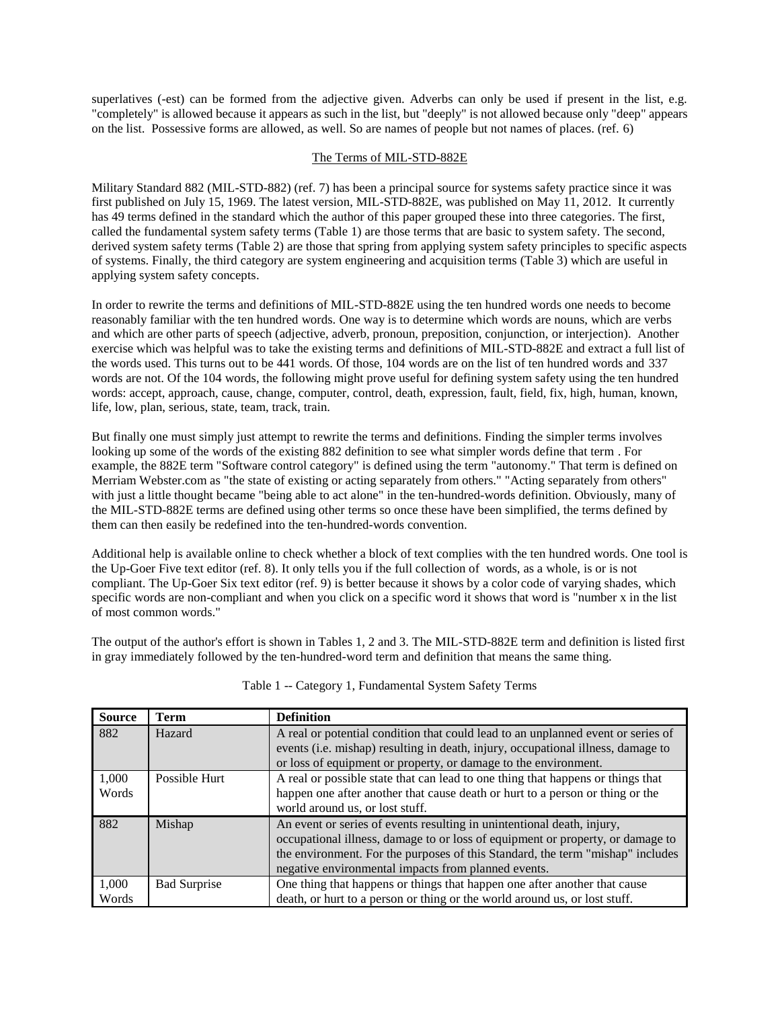superlatives (-est) can be formed from the adjective given. Adverbs can only be used if present in the list, e.g. "completely" is allowed because it appears as such in the list, but "deeply" is not allowed because only "deep" appears on the list. Possessive forms are allowed, as well. So are names of people but not names of places. (ref. 6)

# The Terms of MIL-STD-882E

Military Standard 882 (MIL-STD-882) (ref. 7) has been a principal source for systems safety practice since it was first published on July 15, 1969. The latest version, MIL-STD-882E, was published on May 11, 2012. It currently has 49 terms defined in the standard which the author of this paper grouped these into three categories. The first, called the fundamental system safety terms (Table 1) are those terms that are basic to system safety. The second, derived system safety terms (Table 2) are those that spring from applying system safety principles to specific aspects of systems. Finally, the third category are system engineering and acquisition terms (Table 3) which are useful in applying system safety concepts.

In order to rewrite the terms and definitions of MIL-STD-882E using the ten hundred words one needs to become reasonably familiar with the ten hundred words. One way is to determine which words are nouns, which are verbs and which are other parts of speech (adjective, adverb, pronoun, preposition, conjunction, or interjection). Another exercise which was helpful was to take the existing terms and definitions of MIL-STD-882E and extract a full list of the words used. This turns out to be 441 words. Of those, 104 words are on the list of ten hundred words and 337 words are not. Of the 104 words, the following might prove useful for defining system safety using the ten hundred words: accept, approach, cause, change, computer, control, death, expression, fault, field, fix, high, human, known, life, low, plan, serious, state, team, track, train.

But finally one must simply just attempt to rewrite the terms and definitions. Finding the simpler terms involves looking up some of the words of the existing 882 definition to see what simpler words define that term . For example, the 882E term "Software control category" is defined using the term "autonomy." That term is defined on Merriam Webster.com as "the state of existing or acting separately from others." "Acting separately from others" with just a little thought became "being able to act alone" in the ten-hundred-words definition. Obviously, many of the MIL-STD-882E terms are defined using other terms so once these have been simplified, the terms defined by them can then easily be redefined into the ten-hundred-words convention.

Additional help is available online to check whether a block of text complies with the ten hundred words. One tool is the Up-Goer Five text editor (ref. 8). It only tells you if the full collection of words, as a whole, is or is not compliant. The Up-Goer Six text editor (ref. 9) is better because it shows by a color code of varying shades, which specific words are non-compliant and when you click on a specific word it shows that word is "number x in the list of most common words."

The output of the author's effort is shown in Tables 1, 2 and 3. The MIL-STD-882E term and definition is listed first in gray immediately followed by the ten-hundred-word term and definition that means the same thing.

| <b>Source</b>  | <b>Term</b>         | <b>Definition</b>                                                                                                                                                                                                                                                                                 |
|----------------|---------------------|---------------------------------------------------------------------------------------------------------------------------------------------------------------------------------------------------------------------------------------------------------------------------------------------------|
| 882            | Hazard              | A real or potential condition that could lead to an unplanned event or series of<br>events (i.e. mishap) resulting in death, injury, occupational illness, damage to<br>or loss of equipment or property, or damage to the environment.                                                           |
| 1,000<br>Words | Possible Hurt       | A real or possible state that can lead to one thing that happens or things that<br>happen one after another that cause death or hurt to a person or thing or the<br>world around us, or lost stuff.                                                                                               |
| 882            | Mishap              | An event or series of events resulting in unintentional death, injury,<br>occupational illness, damage to or loss of equipment or property, or damage to<br>the environment. For the purposes of this Standard, the term "mishap" includes<br>negative environmental impacts from planned events. |
| 1,000<br>Words | <b>Bad Surprise</b> | One thing that happens or things that happen one after another that cause<br>death, or hurt to a person or thing or the world around us, or lost stuff.                                                                                                                                           |

|  |  |  |  |  | Table 1 -- Category 1, Fundamental System Safety Terms |
|--|--|--|--|--|--------------------------------------------------------|
|--|--|--|--|--|--------------------------------------------------------|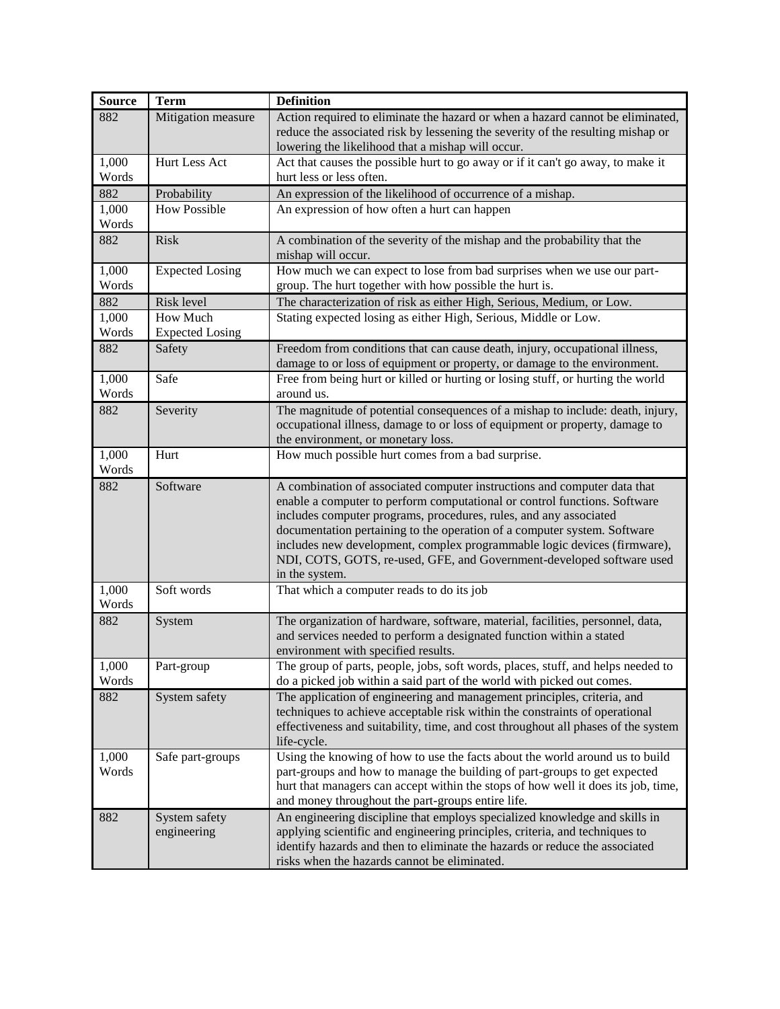| <b>Source</b>  | <b>Term</b>                        | <b>Definition</b>                                                                                                                                                                                                                                                                                                                                                                                                                                                             |
|----------------|------------------------------------|-------------------------------------------------------------------------------------------------------------------------------------------------------------------------------------------------------------------------------------------------------------------------------------------------------------------------------------------------------------------------------------------------------------------------------------------------------------------------------|
| 882            | Mitigation measure                 | Action required to eliminate the hazard or when a hazard cannot be eliminated,<br>reduce the associated risk by lessening the severity of the resulting mishap or                                                                                                                                                                                                                                                                                                             |
|                |                                    | lowering the likelihood that a mishap will occur.                                                                                                                                                                                                                                                                                                                                                                                                                             |
| 1,000<br>Words | Hurt Less Act                      | Act that causes the possible hurt to go away or if it can't go away, to make it<br>hurt less or less often.                                                                                                                                                                                                                                                                                                                                                                   |
| 882            | Probability                        | An expression of the likelihood of occurrence of a mishap.                                                                                                                                                                                                                                                                                                                                                                                                                    |
| 1,000<br>Words | <b>How Possible</b>                | An expression of how often a hurt can happen                                                                                                                                                                                                                                                                                                                                                                                                                                  |
| 882            | <b>Risk</b>                        | A combination of the severity of the mishap and the probability that the<br>mishap will occur.                                                                                                                                                                                                                                                                                                                                                                                |
| 1,000<br>Words | <b>Expected Losing</b>             | How much we can expect to lose from bad surprises when we use our part-<br>group. The hurt together with how possible the hurt is.                                                                                                                                                                                                                                                                                                                                            |
| 882            | Risk level                         | The characterization of risk as either High, Serious, Medium, or Low.                                                                                                                                                                                                                                                                                                                                                                                                         |
| 1,000<br>Words | How Much<br><b>Expected Losing</b> | Stating expected losing as either High, Serious, Middle or Low.                                                                                                                                                                                                                                                                                                                                                                                                               |
| 882            | Safety                             | Freedom from conditions that can cause death, injury, occupational illness,<br>damage to or loss of equipment or property, or damage to the environment.                                                                                                                                                                                                                                                                                                                      |
| 1,000<br>Words | Safe                               | Free from being hurt or killed or hurting or losing stuff, or hurting the world<br>around us.                                                                                                                                                                                                                                                                                                                                                                                 |
| 882            | Severity                           | The magnitude of potential consequences of a mishap to include: death, injury,<br>occupational illness, damage to or loss of equipment or property, damage to<br>the environment, or monetary loss.                                                                                                                                                                                                                                                                           |
| 1,000<br>Words | Hurt                               | How much possible hurt comes from a bad surprise.                                                                                                                                                                                                                                                                                                                                                                                                                             |
| 882            | Software                           | A combination of associated computer instructions and computer data that<br>enable a computer to perform computational or control functions. Software<br>includes computer programs, procedures, rules, and any associated<br>documentation pertaining to the operation of a computer system. Software<br>includes new development, complex programmable logic devices (firmware),<br>NDI, COTS, GOTS, re-used, GFE, and Government-developed software used<br>in the system. |
| 1,000<br>Words | Soft words                         | That which a computer reads to do its job                                                                                                                                                                                                                                                                                                                                                                                                                                     |
| 882            | System                             | The organization of hardware, software, material, facilities, personnel, data,<br>and services needed to perform a designated function within a stated<br>environment with specified results.                                                                                                                                                                                                                                                                                 |
| 1,000<br>Words | Part-group                         | The group of parts, people, jobs, soft words, places, stuff, and helps needed to<br>do a picked job within a said part of the world with picked out comes.                                                                                                                                                                                                                                                                                                                    |
| 882            | System safety                      | The application of engineering and management principles, criteria, and<br>techniques to achieve acceptable risk within the constraints of operational<br>effectiveness and suitability, time, and cost throughout all phases of the system<br>life-cycle.                                                                                                                                                                                                                    |
| 1,000<br>Words | Safe part-groups                   | Using the knowing of how to use the facts about the world around us to build<br>part-groups and how to manage the building of part-groups to get expected<br>hurt that managers can accept within the stops of how well it does its job, time,<br>and money throughout the part-groups entire life.                                                                                                                                                                           |
| 882            | System safety<br>engineering       | An engineering discipline that employs specialized knowledge and skills in<br>applying scientific and engineering principles, criteria, and techniques to<br>identify hazards and then to eliminate the hazards or reduce the associated<br>risks when the hazards cannot be eliminated.                                                                                                                                                                                      |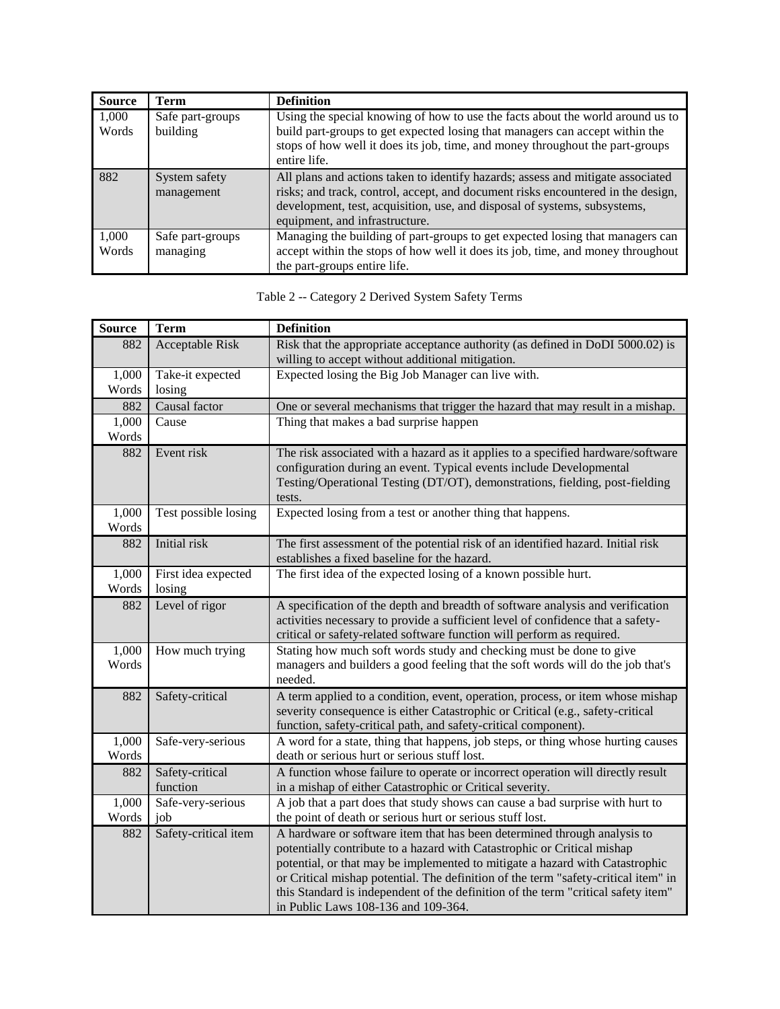| <b>Source</b>  | <b>Term</b>                  | <b>Definition</b>                                                                                                                                                                                                                                                                  |
|----------------|------------------------------|------------------------------------------------------------------------------------------------------------------------------------------------------------------------------------------------------------------------------------------------------------------------------------|
| 1,000<br>Words | Safe part-groups<br>building | Using the special knowing of how to use the facts about the world around us to<br>build part-groups to get expected losing that managers can accept within the<br>stops of how well it does its job, time, and money throughout the part-groups<br>entire life.                    |
| 882            | System safety<br>management  | All plans and actions taken to identify hazards; assess and mitigate associated<br>risks; and track, control, accept, and document risks encountered in the design,<br>development, test, acquisition, use, and disposal of systems, subsystems,<br>equipment, and infrastructure. |
| 1,000<br>Words | Safe part-groups<br>managing | Managing the building of part-groups to get expected losing that managers can<br>accept within the stops of how well it does its job, time, and money throughout<br>the part-groups entire life.                                                                                   |

| <b>Source</b>  | <b>Term</b>                   | <b>Definition</b>                                                                                                                                                                                                                                                                                                                                                                                                                                     |
|----------------|-------------------------------|-------------------------------------------------------------------------------------------------------------------------------------------------------------------------------------------------------------------------------------------------------------------------------------------------------------------------------------------------------------------------------------------------------------------------------------------------------|
| 882            | <b>Acceptable Risk</b>        | Risk that the appropriate acceptance authority (as defined in DoDI 5000.02) is<br>willing to accept without additional mitigation.                                                                                                                                                                                                                                                                                                                    |
| 1,000          | Take-it expected              | Expected losing the Big Job Manager can live with.                                                                                                                                                                                                                                                                                                                                                                                                    |
| Words          | losing                        |                                                                                                                                                                                                                                                                                                                                                                                                                                                       |
| 882            | Causal factor                 | One or several mechanisms that trigger the hazard that may result in a mishap.                                                                                                                                                                                                                                                                                                                                                                        |
| 1,000          | Cause                         | Thing that makes a bad surprise happen                                                                                                                                                                                                                                                                                                                                                                                                                |
| Words          |                               |                                                                                                                                                                                                                                                                                                                                                                                                                                                       |
| 882            | Event risk                    | The risk associated with a hazard as it applies to a specified hardware/software<br>configuration during an event. Typical events include Developmental<br>Testing/Operational Testing (DT/OT), demonstrations, fielding, post-fielding<br>tests.                                                                                                                                                                                                     |
| 1,000<br>Words | Test possible losing          | Expected losing from a test or another thing that happens.                                                                                                                                                                                                                                                                                                                                                                                            |
| 882            | Initial risk                  | The first assessment of the potential risk of an identified hazard. Initial risk<br>establishes a fixed baseline for the hazard.                                                                                                                                                                                                                                                                                                                      |
| 1,000<br>Words | First idea expected<br>losing | The first idea of the expected losing of a known possible hurt.                                                                                                                                                                                                                                                                                                                                                                                       |
| 882            | Level of rigor                | A specification of the depth and breadth of software analysis and verification<br>activities necessary to provide a sufficient level of confidence that a safety-<br>critical or safety-related software function will perform as required.                                                                                                                                                                                                           |
| 1,000<br>Words | How much trying               | Stating how much soft words study and checking must be done to give<br>managers and builders a good feeling that the soft words will do the job that's<br>needed.                                                                                                                                                                                                                                                                                     |
| 882            | Safety-critical               | A term applied to a condition, event, operation, process, or item whose mishap<br>severity consequence is either Catastrophic or Critical (e.g., safety-critical<br>function, safety-critical path, and safety-critical component).                                                                                                                                                                                                                   |
| 1,000<br>Words | Safe-very-serious             | A word for a state, thing that happens, job steps, or thing whose hurting causes<br>death or serious hurt or serious stuff lost.                                                                                                                                                                                                                                                                                                                      |
| 882            | Safety-critical<br>function   | A function whose failure to operate or incorrect operation will directly result<br>in a mishap of either Catastrophic or Critical severity.                                                                                                                                                                                                                                                                                                           |
| 1,000          | Safe-very-serious             | A job that a part does that study shows can cause a bad surprise with hurt to                                                                                                                                                                                                                                                                                                                                                                         |
| Words          | job                           | the point of death or serious hurt or serious stuff lost.                                                                                                                                                                                                                                                                                                                                                                                             |
| 882            | Safety-critical item          | A hardware or software item that has been determined through analysis to<br>potentially contribute to a hazard with Catastrophic or Critical mishap<br>potential, or that may be implemented to mitigate a hazard with Catastrophic<br>or Critical mishap potential. The definition of the term "safety-critical item" in<br>this Standard is independent of the definition of the term "critical safety item"<br>in Public Laws 108-136 and 109-364. |

Table 2 -- Category 2 Derived System Safety Terms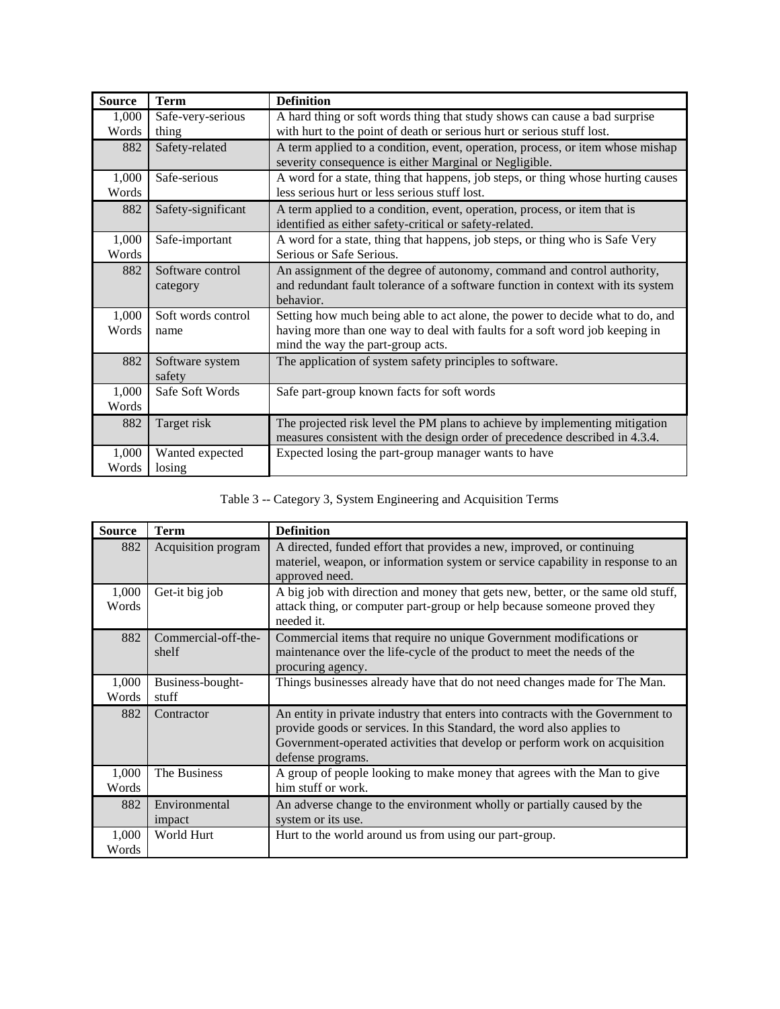| <b>Source</b>  | <b>Term</b>                  | <b>Definition</b>                                                                                                                                                                                 |
|----------------|------------------------------|---------------------------------------------------------------------------------------------------------------------------------------------------------------------------------------------------|
| 1,000          | Safe-very-serious            | A hard thing or soft words thing that study shows can cause a bad surprise                                                                                                                        |
| Words          | thing                        | with hurt to the point of death or serious hurt or serious stuff lost.                                                                                                                            |
| 882            | Safety-related               | A term applied to a condition, event, operation, process, or item whose mishap<br>severity consequence is either Marginal or Negligible.                                                          |
| 1,000<br>Words | Safe-serious                 | A word for a state, thing that happens, job steps, or thing whose hurting causes<br>less serious hurt or less serious stuff lost.                                                                 |
| 882            | Safety-significant           | A term applied to a condition, event, operation, process, or item that is<br>identified as either safety-critical or safety-related.                                                              |
| 1,000<br>Words | Safe-important               | A word for a state, thing that happens, job steps, or thing who is Safe Very<br>Serious or Safe Serious.                                                                                          |
| 882            | Software control<br>category | An assignment of the degree of autonomy, command and control authority,<br>and redundant fault tolerance of a software function in context with its system<br>behavior.                           |
| 1,000<br>Words | Soft words control<br>name   | Setting how much being able to act alone, the power to decide what to do, and<br>having more than one way to deal with faults for a soft word job keeping in<br>mind the way the part-group acts. |
| 882            | Software system<br>safety    | The application of system safety principles to software.                                                                                                                                          |
| 1,000<br>Words | Safe Soft Words              | Safe part-group known facts for soft words                                                                                                                                                        |
| 882            | Target risk                  | The projected risk level the PM plans to achieve by implementing mitigation                                                                                                                       |
|                |                              | measures consistent with the design order of precedence described in 4.3.4.                                                                                                                       |
| 1,000          | Wanted expected              | Expected losing the part-group manager wants to have                                                                                                                                              |
| Words          | losing                       |                                                                                                                                                                                                   |

# Table 3 -- Category 3, System Engineering and Acquisition Terms

| <b>Source</b>  | <b>Term</b>                  | <b>Definition</b>                                                                                                                                                                                                                                           |
|----------------|------------------------------|-------------------------------------------------------------------------------------------------------------------------------------------------------------------------------------------------------------------------------------------------------------|
| 882            | Acquisition program          | A directed, funded effort that provides a new, improved, or continuing<br>materiel, weapon, or information system or service capability in response to an<br>approved need.                                                                                 |
| 1,000<br>Words | Get-it big job               | A big job with direction and money that gets new, better, or the same old stuff,<br>attack thing, or computer part-group or help because someone proved they<br>needed it.                                                                                  |
| 882            | Commercial-off-the-<br>shelf | Commercial items that require no unique Government modifications or<br>maintenance over the life-cycle of the product to meet the needs of the<br>procuring agency.                                                                                         |
| 1,000<br>Words | Business-bought-<br>stuff    | Things businesses already have that do not need changes made for The Man.                                                                                                                                                                                   |
| 882            | Contractor                   | An entity in private industry that enters into contracts with the Government to<br>provide goods or services. In this Standard, the word also applies to<br>Government-operated activities that develop or perform work on acquisition<br>defense programs. |
| 1,000<br>Words | The Business                 | A group of people looking to make money that agrees with the Man to give<br>him stuff or work.                                                                                                                                                              |
| 882            | Environmental<br>impact      | An adverse change to the environment wholly or partially caused by the<br>system or its use.                                                                                                                                                                |
| 1,000<br>Words | World Hurt                   | Hurt to the world around us from using our part-group.                                                                                                                                                                                                      |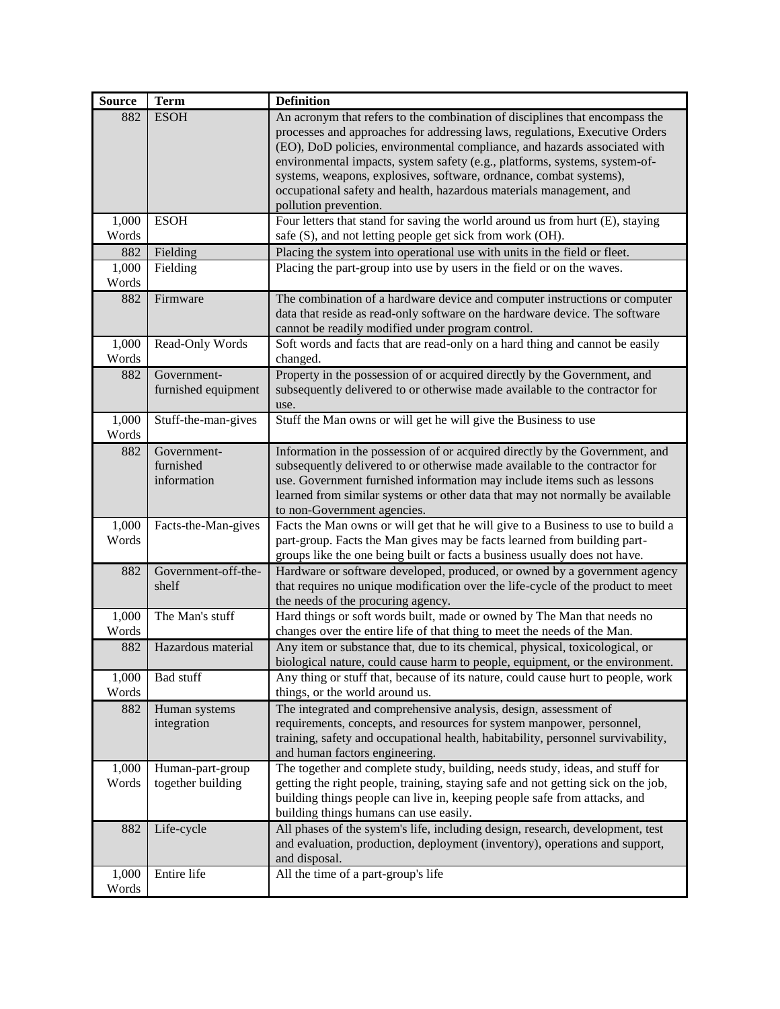| <b>Source</b>  | <b>Term</b>              | <b>Definition</b>                                                                                                                                        |
|----------------|--------------------------|----------------------------------------------------------------------------------------------------------------------------------------------------------|
| 882            | <b>ESOH</b>              | An acronym that refers to the combination of disciplines that encompass the                                                                              |
|                |                          | processes and approaches for addressing laws, regulations, Executive Orders                                                                              |
|                |                          | (EO), DoD policies, environmental compliance, and hazards associated with                                                                                |
|                |                          | environmental impacts, system safety (e.g., platforms, systems, system-of-                                                                               |
|                |                          | systems, weapons, explosives, software, ordnance, combat systems),                                                                                       |
|                |                          | occupational safety and health, hazardous materials management, and                                                                                      |
|                |                          | pollution prevention.                                                                                                                                    |
| 1,000<br>Words | <b>ESOH</b>              | Four letters that stand for saving the world around us from hurt (E), staying                                                                            |
| 882            | Fielding                 | safe (S), and not letting people get sick from work (OH).<br>Placing the system into operational use with units in the field or fleet.                   |
| 1,000          | Fielding                 | Placing the part-group into use by users in the field or on the waves.                                                                                   |
| Words          |                          |                                                                                                                                                          |
| 882            | Firmware                 | The combination of a hardware device and computer instructions or computer                                                                               |
|                |                          | data that reside as read-only software on the hardware device. The software                                                                              |
|                |                          | cannot be readily modified under program control.                                                                                                        |
| 1,000          | Read-Only Words          | Soft words and facts that are read-only on a hard thing and cannot be easily                                                                             |
| Words          |                          | changed.                                                                                                                                                 |
| 882            | Government-              | Property in the possession of or acquired directly by the Government, and                                                                                |
|                | furnished equipment      | subsequently delivered to or otherwise made available to the contractor for                                                                              |
|                |                          | use.                                                                                                                                                     |
| 1,000          | Stuff-the-man-gives      | Stuff the Man owns or will get he will give the Business to use                                                                                          |
| Words          |                          |                                                                                                                                                          |
| 882            | Government-              | Information in the possession of or acquired directly by the Government, and                                                                             |
|                | furnished<br>information | subsequently delivered to or otherwise made available to the contractor for                                                                              |
|                |                          | use. Government furnished information may include items such as lessons<br>learned from similar systems or other data that may not normally be available |
|                |                          | to non-Government agencies.                                                                                                                              |
| 1,000          | Facts-the-Man-gives      | Facts the Man owns or will get that he will give to a Business to use to build a                                                                         |
| Words          |                          | part-group. Facts the Man gives may be facts learned from building part-                                                                                 |
|                |                          | groups like the one being built or facts a business usually does not have.                                                                               |
| 882            | Government-off-the-      | Hardware or software developed, produced, or owned by a government agency                                                                                |
|                | shelf                    | that requires no unique modification over the life-cycle of the product to meet                                                                          |
|                |                          | the needs of the procuring agency.                                                                                                                       |
| 1,000          | The Man's stuff          | Hard things or soft words built, made or owned by The Man that needs no                                                                                  |
| Words          |                          | changes over the entire life of that thing to meet the needs of the Man.                                                                                 |
| 882            | Hazardous material       | Any item or substance that, due to its chemical, physical, toxicological, or                                                                             |
|                |                          | biological nature, could cause harm to people, equipment, or the environment.                                                                            |
| 1,000          | <b>Bad stuff</b>         | Any thing or stuff that, because of its nature, could cause hurt to people, work                                                                         |
| Words          |                          | things, or the world around us.                                                                                                                          |
| 882            | Human systems            | The integrated and comprehensive analysis, design, assessment of                                                                                         |
|                | integration              | requirements, concepts, and resources for system manpower, personnel,                                                                                    |
|                |                          | training, safety and occupational health, habitability, personnel survivability,                                                                         |
|                |                          | and human factors engineering.                                                                                                                           |
| 1,000          | Human-part-group         | The together and complete study, building, needs study, ideas, and stuff for                                                                             |
| Words          | together building        | getting the right people, training, staying safe and not getting sick on the job,                                                                        |
|                |                          | building things people can live in, keeping people safe from attacks, and<br>building things humans can use easily.                                      |
| 882            | Life-cycle               | All phases of the system's life, including design, research, development, test                                                                           |
|                |                          | and evaluation, production, deployment (inventory), operations and support,                                                                              |
|                |                          | and disposal.                                                                                                                                            |
| 1,000          | Entire life              | All the time of a part-group's life                                                                                                                      |
| Words          |                          |                                                                                                                                                          |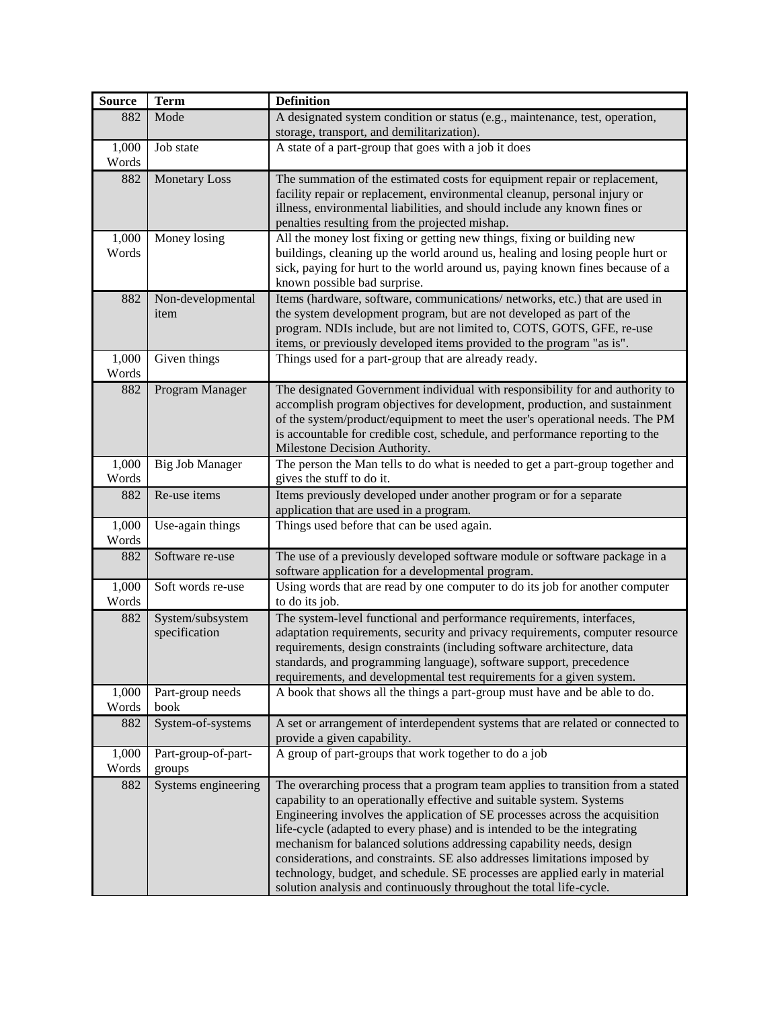| <b>Source</b>  | <b>Term</b>            | <b>Definition</b>                                                                                                                                   |
|----------------|------------------------|-----------------------------------------------------------------------------------------------------------------------------------------------------|
| 882            | Mode                   | A designated system condition or status (e.g., maintenance, test, operation,                                                                        |
|                |                        | storage, transport, and demilitarization).                                                                                                          |
| 1,000          | Job state              | A state of a part-group that goes with a job it does                                                                                                |
| Words          |                        |                                                                                                                                                     |
| 882            | <b>Monetary Loss</b>   | The summation of the estimated costs for equipment repair or replacement,                                                                           |
|                |                        | facility repair or replacement, environmental cleanup, personal injury or                                                                           |
|                |                        | illness, environmental liabilities, and should include any known fines or                                                                           |
|                |                        | penalties resulting from the projected mishap.                                                                                                      |
| 1,000          | Money losing           | All the money lost fixing or getting new things, fixing or building new                                                                             |
| Words          |                        | buildings, cleaning up the world around us, healing and losing people hurt or                                                                       |
|                |                        | sick, paying for hurt to the world around us, paying known fines because of a                                                                       |
|                |                        | known possible bad surprise.                                                                                                                        |
| 882            | Non-developmental      | Items (hardware, software, communications/ networks, etc.) that are used in                                                                         |
|                | item                   | the system development program, but are not developed as part of the                                                                                |
|                |                        | program. NDIs include, but are not limited to, COTS, GOTS, GFE, re-use                                                                              |
|                |                        | items, or previously developed items provided to the program "as is".                                                                               |
| 1,000          | Given things           | Things used for a part-group that are already ready.                                                                                                |
| Words          |                        |                                                                                                                                                     |
| 882            | Program Manager        | The designated Government individual with responsibility for and authority to                                                                       |
|                |                        | accomplish program objectives for development, production, and sustainment                                                                          |
|                |                        | of the system/product/equipment to meet the user's operational needs. The PM                                                                        |
|                |                        | is accountable for credible cost, schedule, and performance reporting to the                                                                        |
|                |                        | Milestone Decision Authority.<br>The person the Man tells to do what is needed to get a part-group together and                                     |
| 1,000<br>Words | <b>Big Job Manager</b> | gives the stuff to do it.                                                                                                                           |
| 882            | Re-use items           | Items previously developed under another program or for a separate                                                                                  |
|                |                        | application that are used in a program.                                                                                                             |
| 1,000          | Use-again things       | Things used before that can be used again.                                                                                                          |
| Words          |                        |                                                                                                                                                     |
| 882            | Software re-use        | The use of a previously developed software module or software package in a                                                                          |
|                |                        | software application for a developmental program.                                                                                                   |
| 1,000          | Soft words re-use      | Using words that are read by one computer to do its job for another computer                                                                        |
| Words          |                        | to do its job.                                                                                                                                      |
| 882            | System/subsystem       | The system-level functional and performance requirements, interfaces,                                                                               |
|                | specification          | adaptation requirements, security and privacy requirements, computer resource                                                                       |
|                |                        | requirements, design constraints (including software architecture, data                                                                             |
|                |                        | standards, and programming language), software support, precedence                                                                                  |
|                |                        | requirements, and developmental test requirements for a given system.                                                                               |
| 1,000          | Part-group needs       | A book that shows all the things a part-group must have and be able to do.                                                                          |
| Words          | book                   |                                                                                                                                                     |
| 882            | System-of-systems      | A set or arrangement of interdependent systems that are related or connected to                                                                     |
|                |                        | provide a given capability.                                                                                                                         |
| 1,000          | Part-group-of-part-    | A group of part-groups that work together to do a job                                                                                               |
| Words          | groups                 |                                                                                                                                                     |
| 882            | Systems engineering    | The overarching process that a program team applies to transition from a stated                                                                     |
|                |                        | capability to an operationally effective and suitable system. Systems                                                                               |
|                |                        | Engineering involves the application of SE processes across the acquisition                                                                         |
|                |                        | life-cycle (adapted to every phase) and is intended to be the integrating                                                                           |
|                |                        | mechanism for balanced solutions addressing capability needs, design                                                                                |
|                |                        | considerations, and constraints. SE also addresses limitations imposed by                                                                           |
|                |                        | technology, budget, and schedule. SE processes are applied early in material<br>solution analysis and continuously throughout the total life-cycle. |
|                |                        |                                                                                                                                                     |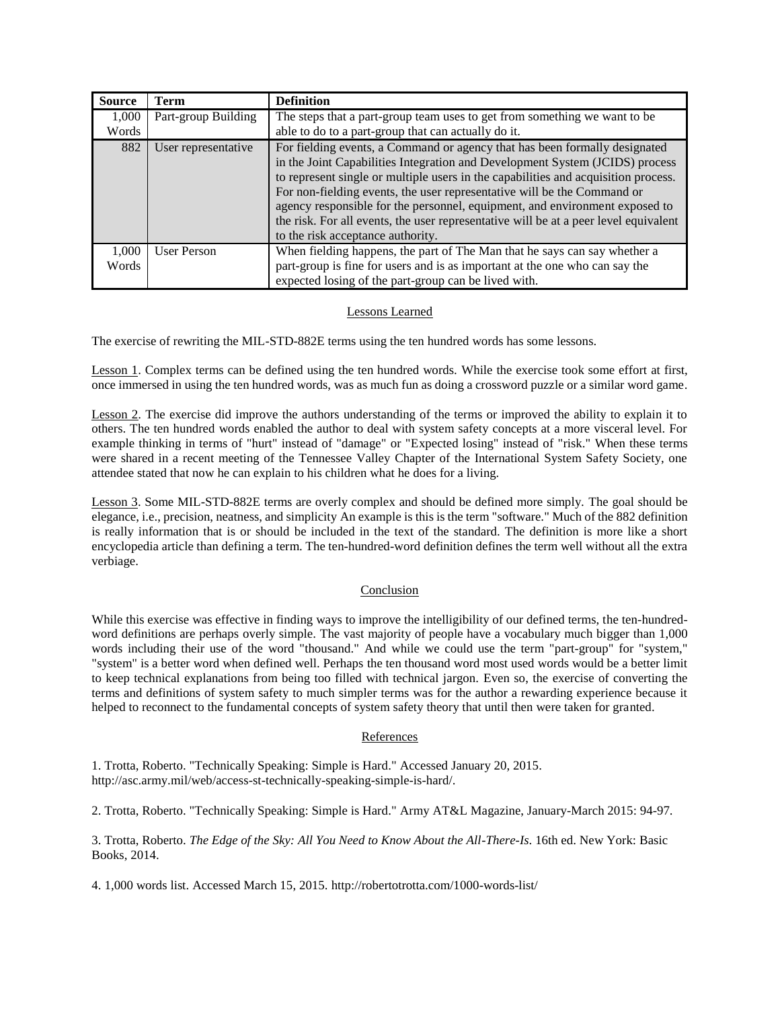| <b>Source</b> | <b>Term</b>         | <b>Definition</b>                                                                                                                                                                                                                                                                                                                                                                                                                                                                                                                       |
|---------------|---------------------|-----------------------------------------------------------------------------------------------------------------------------------------------------------------------------------------------------------------------------------------------------------------------------------------------------------------------------------------------------------------------------------------------------------------------------------------------------------------------------------------------------------------------------------------|
| 1,000         | Part-group Building | The steps that a part-group team uses to get from something we want to be                                                                                                                                                                                                                                                                                                                                                                                                                                                               |
| Words         |                     | able to do to a part-group that can actually do it.                                                                                                                                                                                                                                                                                                                                                                                                                                                                                     |
| 882           | User representative | For fielding events, a Command or agency that has been formally designated<br>in the Joint Capabilities Integration and Development System (JCIDS) process<br>to represent single or multiple users in the capabilities and acquisition process.<br>For non-fielding events, the user representative will be the Command or<br>agency responsible for the personnel, equipment, and environment exposed to<br>the risk. For all events, the user representative will be at a peer level equivalent<br>to the risk acceptance authority. |
| 1,000         | User Person         | When fielding happens, the part of The Man that he says can say whether a                                                                                                                                                                                                                                                                                                                                                                                                                                                               |
| Words         |                     | part-group is fine for users and is as important at the one who can say the                                                                                                                                                                                                                                                                                                                                                                                                                                                             |
|               |                     | expected losing of the part-group can be lived with.                                                                                                                                                                                                                                                                                                                                                                                                                                                                                    |

# Lessons Learned

The exercise of rewriting the MIL-STD-882E terms using the ten hundred words has some lessons.

Lesson 1. Complex terms can be defined using the ten hundred words. While the exercise took some effort at first, once immersed in using the ten hundred words, was as much fun as doing a crossword puzzle or a similar word game.

Lesson 2. The exercise did improve the authors understanding of the terms or improved the ability to explain it to others. The ten hundred words enabled the author to deal with system safety concepts at a more visceral level. For example thinking in terms of "hurt" instead of "damage" or "Expected losing" instead of "risk." When these terms were shared in a recent meeting of the Tennessee Valley Chapter of the International System Safety Society, one attendee stated that now he can explain to his children what he does for a living.

Lesson 3. Some MIL-STD-882E terms are overly complex and should be defined more simply. The goal should be elegance, i.e., precision, neatness, and simplicity An example is this is the term "software." Much of the 882 definition is really information that is or should be included in the text of the standard. The definition is more like a short encyclopedia article than defining a term. The ten-hundred-word definition defines the term well without all the extra verbiage.

# Conclusion

While this exercise was effective in finding ways to improve the intelligibility of our defined terms, the ten-hundredword definitions are perhaps overly simple. The vast majority of people have a vocabulary much bigger than 1,000 words including their use of the word "thousand." And while we could use the term "part-group" for "system," "system" is a better word when defined well. Perhaps the ten thousand word most used words would be a better limit to keep technical explanations from being too filled with technical jargon. Even so, the exercise of converting the terms and definitions of system safety to much simpler terms was for the author a rewarding experience because it helped to reconnect to the fundamental concepts of system safety theory that until then were taken for granted.

# References

1. Trotta, Roberto. "Technically Speaking: Simple is Hard." Accessed January 20, 2015. http://asc.army.mil/web/access-st-technically-speaking-simple-is-hard/.

2. Trotta, Roberto. "Technically Speaking: Simple is Hard." Army AT&L Magazine, January-March 2015: 94-97.

3. Trotta, Roberto. *The Edge of the Sky: All You Need to Know About the All-There-Is*. 16th ed. New York: Basic Books, 2014.

4. 1,000 words list. Accessed March 15, 2015. http://robertotrotta.com/1000-words-list/